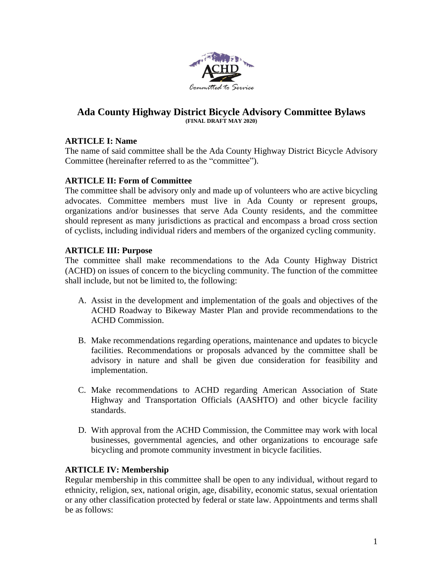

## **Ada County Highway District Bicycle Advisory Committee Bylaws (FINAL DRAFT MAY 2020)**

# **ARTICLE I: Name**

The name of said committee shall be the Ada County Highway District Bicycle Advisory Committee (hereinafter referred to as the "committee").

## **ARTICLE II: Form of Committee**

The committee shall be advisory only and made up of volunteers who are active bicycling advocates. Committee members must live in Ada County or represent groups, organizations and/or businesses that serve Ada County residents, and the committee should represent as many jurisdictions as practical and encompass a broad cross section of cyclists, including individual riders and members of the organized cycling community.

## **ARTICLE III: Purpose**

The committee shall make recommendations to the Ada County Highway District (ACHD) on issues of concern to the bicycling community. The function of the committee shall include, but not be limited to, the following:

- A. Assist in the development and implementation of the goals and objectives of the ACHD Roadway to Bikeway Master Plan and provide recommendations to the ACHD Commission.
- B. Make recommendations regarding operations, maintenance and updates to bicycle facilities. Recommendations or proposals advanced by the committee shall be advisory in nature and shall be given due consideration for feasibility and implementation.
- C. Make recommendations to ACHD regarding American Association of State Highway and Transportation Officials (AASHTO) and other bicycle facility standards.
- D. With approval from the ACHD Commission, the Committee may work with local businesses, governmental agencies, and other organizations to encourage safe bicycling and promote community investment in bicycle facilities.

## **ARTICLE IV: Membership**

Regular membership in this committee shall be open to any individual, without regard to ethnicity, religion, sex, national origin, age, disability, economic status, sexual orientation or any other classification protected by federal or state law. Appointments and terms shall be as follows: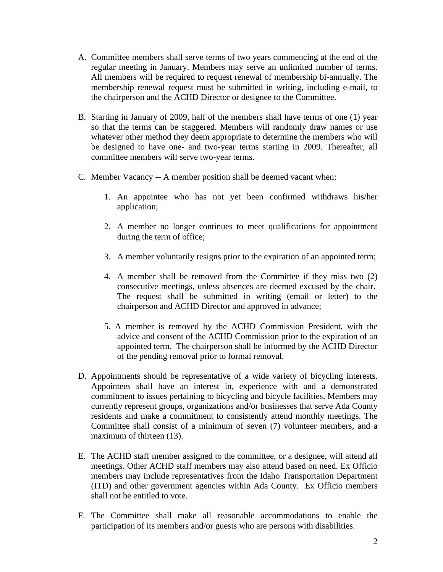- A. Committee members shall serve terms of two years commencing at the end of the regular meeting in January. Members may serve an unlimited number of terms. All members will be required to request renewal of membership bi-annually. The membership renewal request must be submitted in writing, including e-mail, to the chairperson and the ACHD Director or designee to the Committee.
- B. Starting in January of 2009, half of the members shall have terms of one (1) year so that the terms can be staggered. Members will randomly draw names or use whatever other method they deem appropriate to determine the members who will be designed to have one- and two-year terms starting in 2009. Thereafter, all committee members will serve two-year terms.
- C. Member Vacancy -- A member position shall be deemed vacant when:
	- 1. An appointee who has not yet been confirmed withdraws his/her application;
	- 2. A member no longer continues to meet qualifications for appointment during the term of office;
	- 3. A member voluntarily resigns prior to the expiration of an appointed term;
	- 4. A member shall be removed from the Committee if they miss two (2) consecutive meetings, unless absences are deemed excused by the chair. The request shall be submitted in writing (email or letter) to the chairperson and ACHD Director and approved in advance;
	- 5. A member is removed by the ACHD Commission President, with the advice and consent of the ACHD Commission prior to the expiration of an appointed term. The chairperson shall be informed by the ACHD Director of the pending removal prior to formal removal.
- D. Appointments should be representative of a wide variety of bicycling interests. Appointees shall have an interest in, experience with and a demonstrated commitment to issues pertaining to bicycling and bicycle facilities. Members may currently represent groups, organizations and/or businesses that serve Ada County residents and make a commitment to consistently attend monthly meetings. The Committee shall consist of a minimum of seven (7) volunteer members, and a maximum of thirteen (13).
- E. The ACHD staff member assigned to the committee, or a designee, will attend all meetings. Other ACHD staff members may also attend based on need. Ex Officio members may include representatives from the Idaho Transportation Department (ITD) and other government agencies within Ada County. Ex Officio members shall not be entitled to vote.
- F. The Committee shall make all reasonable accommodations to enable the participation of its members and/or guests who are persons with disabilities.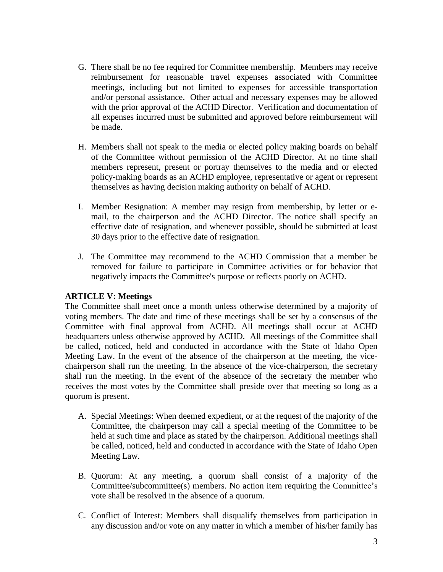- G. There shall be no fee required for Committee membership. Members may receive reimbursement for reasonable travel expenses associated with Committee meetings, including but not limited to expenses for accessible transportation and/or personal assistance. Other actual and necessary expenses may be allowed with the prior approval of the ACHD Director. Verification and documentation of all expenses incurred must be submitted and approved before reimbursement will be made.
- H. Members shall not speak to the media or elected policy making boards on behalf of the Committee without permission of the ACHD Director. At no time shall members represent, present or portray themselves to the media and or elected policy-making boards as an ACHD employee, representative or agent or represent themselves as having decision making authority on behalf of ACHD.
- I. Member Resignation: A member may resign from membership, by letter or email, to the chairperson and the ACHD Director. The notice shall specify an effective date of resignation, and whenever possible, should be submitted at least 30 days prior to the effective date of resignation.
- J. The Committee may recommend to the ACHD Commission that a member be removed for failure to participate in Committee activities or for behavior that negatively impacts the Committee's purpose or reflects poorly on ACHD.

## **ARTICLE V: Meetings**

The Committee shall meet once a month unless otherwise determined by a majority of voting members. The date and time of these meetings shall be set by a consensus of the Committee with final approval from ACHD. All meetings shall occur at ACHD headquarters unless otherwise approved by ACHD. All meetings of the Committee shall be called, noticed, held and conducted in accordance with the State of Idaho Open Meeting Law. In the event of the absence of the chairperson at the meeting, the vicechairperson shall run the meeting. In the absence of the vice-chairperson, the secretary shall run the meeting. In the event of the absence of the secretary the member who receives the most votes by the Committee shall preside over that meeting so long as a quorum is present.

- A. Special Meetings: When deemed expedient, or at the request of the majority of the Committee, the chairperson may call a special meeting of the Committee to be held at such time and place as stated by the chairperson. Additional meetings shall be called, noticed, held and conducted in accordance with the State of Idaho Open Meeting Law.
- B. Quorum: At any meeting, a quorum shall consist of a majority of the Committee/subcommittee(s) members. No action item requiring the Committee's vote shall be resolved in the absence of a quorum.
- C. Conflict of Interest: Members shall disqualify themselves from participation in any discussion and/or vote on any matter in which a member of his/her family has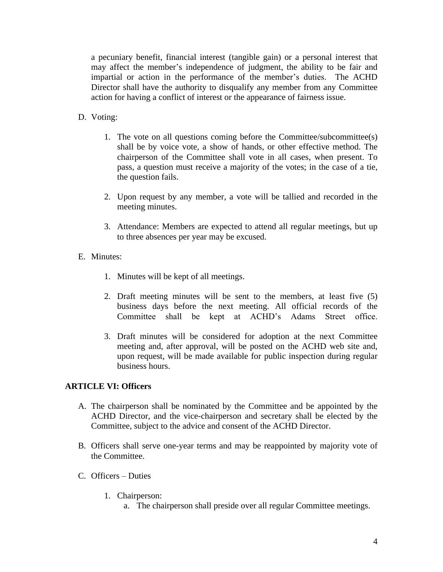a pecuniary benefit, financial interest (tangible gain) or a personal interest that may affect the member's independence of judgment, the ability to be fair and impartial or action in the performance of the member's duties. The ACHD Director shall have the authority to disqualify any member from any Committee action for having a conflict of interest or the appearance of fairness issue.

- D. Voting:
	- 1. The vote on all questions coming before the Committee/subcommittee(s) shall be by voice vote, a show of hands, or other effective method. The chairperson of the Committee shall vote in all cases, when present. To pass, a question must receive a majority of the votes; in the case of a tie, the question fails.
	- 2. Upon request by any member, a vote will be tallied and recorded in the meeting minutes.
	- 3. Attendance: Members are expected to attend all regular meetings, but up to three absences per year may be excused.
- E. Minutes:
	- 1. Minutes will be kept of all meetings.
	- 2. Draft meeting minutes will be sent to the members, at least five (5) business days before the next meeting. All official records of the Committee shall be kept at ACHD's Adams Street office.
	- 3. Draft minutes will be considered for adoption at the next Committee meeting and, after approval, will be posted on the ACHD web site and, upon request, will be made available for public inspection during regular business hours.

#### **ARTICLE VI: Officers**

- A. The chairperson shall be nominated by the Committee and be appointed by the ACHD Director, and the vice-chairperson and secretary shall be elected by the Committee, subject to the advice and consent of the ACHD Director.
- B. Officers shall serve one-year terms and may be reappointed by majority vote of the Committee.
- C. Officers Duties
	- 1. Chairperson:
		- a. The chairperson shall preside over all regular Committee meetings.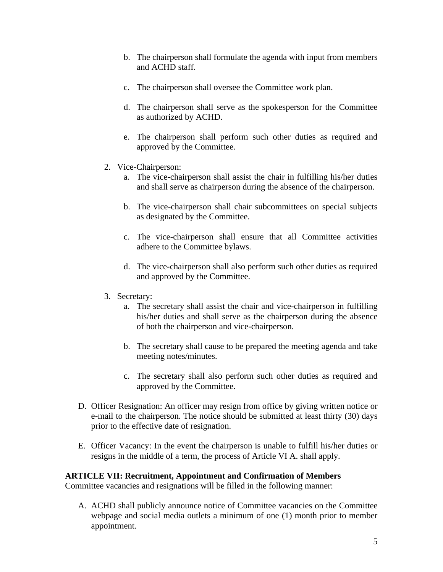- b. The chairperson shall formulate the agenda with input from members and ACHD staff.
- c. The chairperson shall oversee the Committee work plan.
- d. The chairperson shall serve as the spokesperson for the Committee as authorized by ACHD.
- e. The chairperson shall perform such other duties as required and approved by the Committee.
- 2. Vice-Chairperson:
	- a. The vice-chairperson shall assist the chair in fulfilling his/her duties and shall serve as chairperson during the absence of the chairperson.
	- b. The vice-chairperson shall chair subcommittees on special subjects as designated by the Committee.
	- c. The vice-chairperson shall ensure that all Committee activities adhere to the Committee bylaws.
	- d. The vice-chairperson shall also perform such other duties as required and approved by the Committee.
- 3. Secretary:
	- a. The secretary shall assist the chair and vice-chairperson in fulfilling his/her duties and shall serve as the chairperson during the absence of both the chairperson and vice-chairperson.
	- b. The secretary shall cause to be prepared the meeting agenda and take meeting notes/minutes.
	- c. The secretary shall also perform such other duties as required and approved by the Committee.
- D. Officer Resignation: An officer may resign from office by giving written notice or e-mail to the chairperson. The notice should be submitted at least thirty (30) days prior to the effective date of resignation.
- E. Officer Vacancy: In the event the chairperson is unable to fulfill his/her duties or resigns in the middle of a term, the process of Article VI A. shall apply.

#### **ARTICLE VII: Recruitment, Appointment and Confirmation of Members**

Committee vacancies and resignations will be filled in the following manner:

A. ACHD shall publicly announce notice of Committee vacancies on the Committee webpage and social media outlets a minimum of one (1) month prior to member appointment.